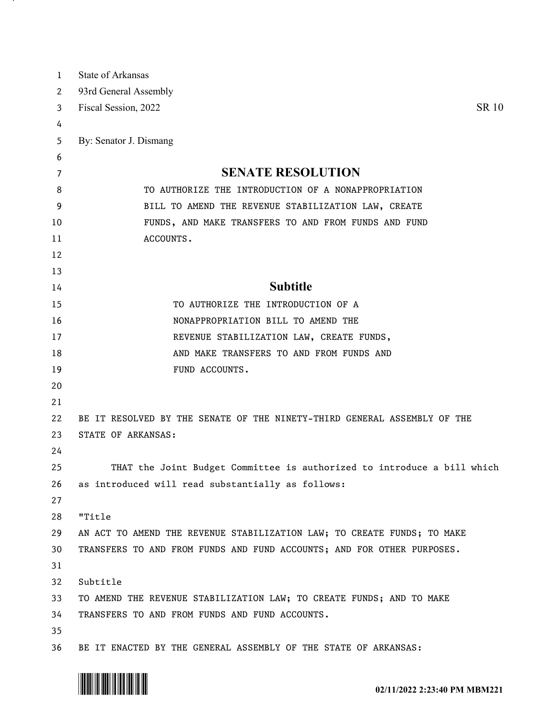| 1  | <b>State of Arkansas</b>                                                 |
|----|--------------------------------------------------------------------------|
| 2  | 93rd General Assembly                                                    |
| 3  | <b>SR 10</b><br>Fiscal Session, 2022                                     |
| 4  |                                                                          |
| 5  | By: Senator J. Dismang                                                   |
| 6  |                                                                          |
| 7  | <b>SENATE RESOLUTION</b>                                                 |
| 8  | TO AUTHORIZE THE INTRODUCTION OF A NONAPPROPRIATION                      |
| 9  | BILL TO AMEND THE REVENUE STABILIZATION LAW, CREATE                      |
| 10 | FUNDS, AND MAKE TRANSFERS TO AND FROM FUNDS AND FUND                     |
| 11 | ACCOUNTS.                                                                |
| 12 |                                                                          |
| 13 |                                                                          |
| 14 | <b>Subtitle</b>                                                          |
| 15 | TO AUTHORIZE THE INTRODUCTION OF A                                       |
| 16 | NONAPPROPRIATION BILL TO AMEND THE                                       |
| 17 | REVENUE STABILIZATION LAW, CREATE FUNDS,                                 |
| 18 | AND MAKE TRANSFERS TO AND FROM FUNDS AND                                 |
| 19 | FUND ACCOUNTS.                                                           |
| 20 |                                                                          |
| 21 |                                                                          |
| 22 | BE IT RESOLVED BY THE SENATE OF THE NINETY-THIRD GENERAL ASSEMBLY OF THE |
| 23 | STATE OF ARKANSAS:                                                       |
| 24 |                                                                          |
| 25 | THAT the Joint Budget Committee is authorized to introduce a bill which  |
| 26 | as introduced will read substantially as follows:                        |
| 27 |                                                                          |
| 28 | "Title                                                                   |
| 29 | AN ACT TO AMEND THE REVENUE STABILIZATION LAW; TO CREATE FUNDS; TO MAKE  |
| 30 | TRANSFERS TO AND FROM FUNDS AND FUND ACCOUNTS; AND FOR OTHER PURPOSES.   |
| 31 |                                                                          |
| 32 | Subtitle                                                                 |
| 33 | TO AMEND THE REVENUE STABILIZATION LAW; TO CREATE FUNDS; AND TO MAKE     |
| 34 | TRANSFERS TO AND FROM FUNDS AND FUND ACCOUNTS.                           |
| 35 |                                                                          |
| 36 | BE IT ENACTED BY THE GENERAL ASSEMBLY OF THE STATE OF ARKANSAS:          |



. н.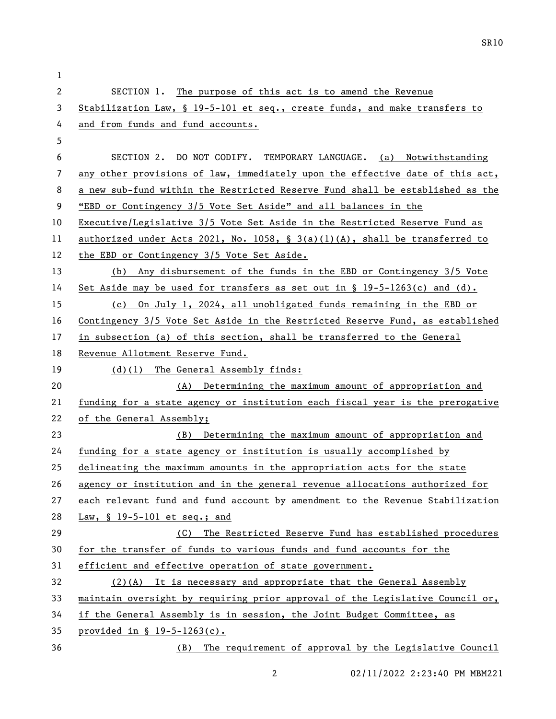SECTION 1. The purpose of this act is to amend the Revenue Stabilization Law, § 19-5-101 et seq., create funds, and make transfers to and from funds and fund accounts. SECTION 2. DO NOT CODIFY. TEMPORARY LANGUAGE. (a) Notwithstanding any other provisions of law, immediately upon the effective date of this act, a new sub-fund within the Restricted Reserve Fund shall be established as the "EBD or Contingency 3/5 Vote Set Aside" and all balances in the Executive/Legislative 3/5 Vote Set Aside in the Restricted Reserve Fund as authorized under Acts 2021, No. 1058, § 3(a)(1)(A), shall be transferred to the EBD or Contingency 3/5 Vote Set Aside. (b) Any disbursement of the funds in the EBD or Contingency 3/5 Vote Set Aside may be used for transfers as set out in § 19-5-1263(c) and (d). (c) On July 1, 2024, all unobligated funds remaining in the EBD or Contingency 3/5 Vote Set Aside in the Restricted Reserve Fund, as established in subsection (a) of this section, shall be transferred to the General Revenue Allotment Reserve Fund. (d)(1) The General Assembly finds: (A) Determining the maximum amount of appropriation and funding for a state agency or institution each fiscal year is the prerogative of the General Assembly; (B) Determining the maximum amount of appropriation and funding for a state agency or institution is usually accomplished by delineating the maximum amounts in the appropriation acts for the state agency or institution and in the general revenue allocations authorized for each relevant fund and fund account by amendment to the Revenue Stabilization 28 Law, § 19-5-101 et seq.; and (C) The Restricted Reserve Fund has established procedures for the transfer of funds to various funds and fund accounts for the efficient and effective operation of state government. (2)(A) It is necessary and appropriate that the General Assembly maintain oversight by requiring prior approval of the Legislative Council or, if the General Assembly is in session, the Joint Budget Committee, as provided in § 19-5-1263(c). (B) The requirement of approval by the Legislative Council

02/11/2022 2:23:40 PM MBM221

SR10